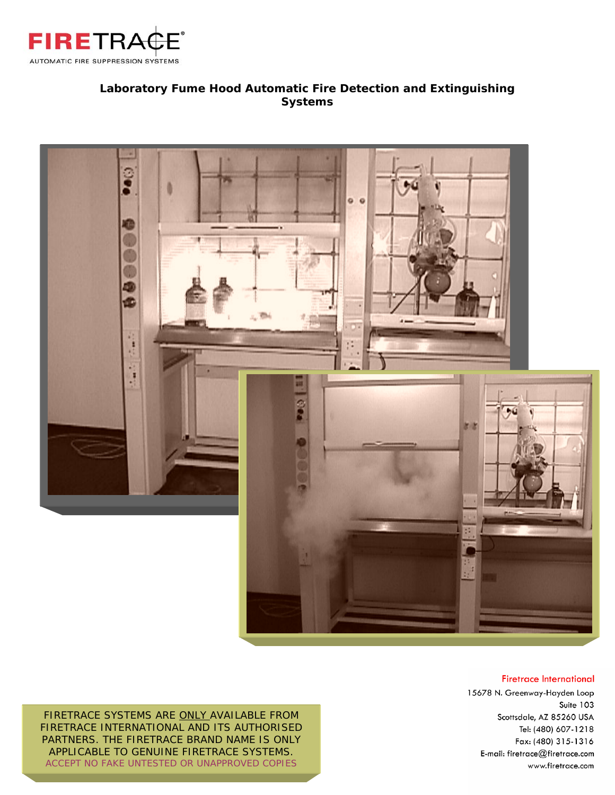

### **Laboratory Fume Hood Automatic Fire Detection and Extinguishing Systems**



#### **Firetrace International**

15678 N. Greenway-Hayden Loop Suite 103 Scottsdale, AZ 85260 USA Tel: (480) 607-1218 Fax: (480) 315-1316 E-mail: firetrace@firetrace.com www.firetrace.com

FIRETRACE SYSTEMS ARE ONLY AVAILABLE FROM FIRETRACE INTERNATIONAL AND ITS AUTHORISED PARTNERS. THE FIRETRACE BRAND NAME IS ONLY APPLICABLE TO GENUINE FIRETRACE SYSTEMS. ACCEPT NO FAKE UNTESTED OR UNAPPROVED COPIES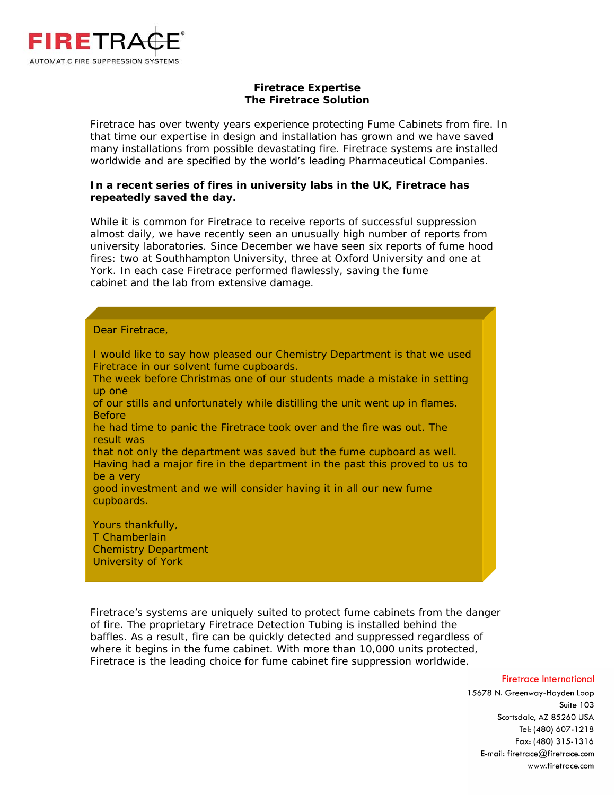

#### **Firetrace Expertise The Firetrace Solution**

Firetrace has over twenty years experience protecting Fume Cabinets from fire. In that time our expertise in design and installation has grown and we have saved many installations from possible devastating fire. Firetrace systems are installed worldwide and are specified by the world's leading Pharmaceutical Companies.

#### **In a recent series of fires in university labs in the UK, Firetrace has repeatedly saved the day.**

While it is common for Firetrace to receive reports of successful suppression almost daily, we have recently seen an unusually high number of reports from university laboratories. Since December we have seen six reports of fume hood fires: two at Southhampton University, three at Oxford University and one at York. In each case Firetrace performed flawlessly, saving the fume cabinet and the lab from extensive damage.

#### Dear Firetrace,

University of York

I would like to say how pleased our Chemistry Department is that we used Firetrace in our solvent fume cupboards. The week before Christmas one of our students made a mistake in setting up one of our stills and unfortunately while distilling the unit went up in flames. Before he had time to panic the Firetrace took over and the fire was out. The result was that not only the department was saved but the fume cupboard as well. Having had a major fire in the department in the past this proved to us to be a very good investment and we will consider having it in all our new fume cupboards. Yours thankfully, T Chamberlain Chemistry Department

Firetrace's systems are uniquely suited to protect fume cabinets from the danger of fire. The proprietary Firetrace Detection Tubing is installed behind the baffles. As a result, fire can be quickly detected and suppressed regardless of where it begins in the fume cabinet. With more than 10,000 units protected, Firetrace is the leading choice for fume cabinet fire suppression worldwide.

#### **Firetrace International**

15678 N. Greenway-Hayden Loop Suite 103 Scottsdale, AZ 85260 USA Tel: (480) 607-1218 Fax: (480) 315-1316 E-mail: firetrace@firetrace.com www.firetrace.com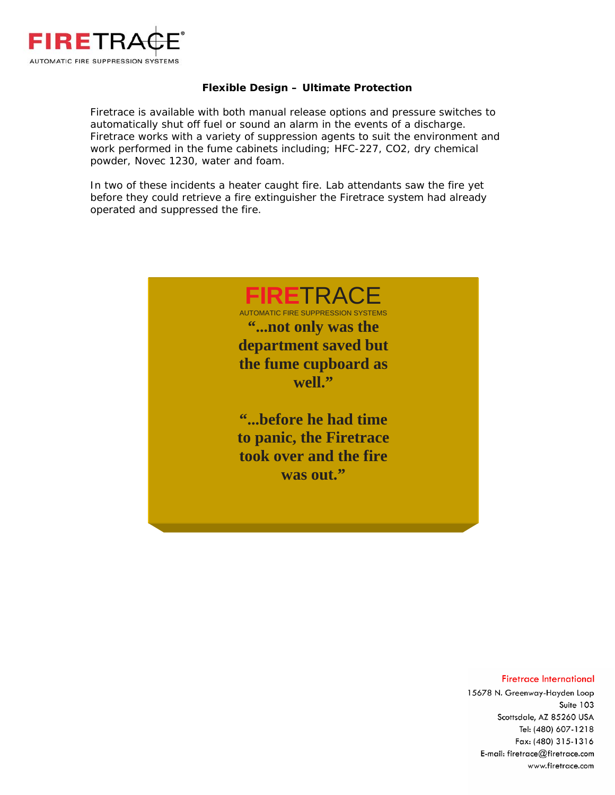

#### **Flexible Design – Ultimate Protection**

Firetrace is available with both manual release options and pressure switches to automatically shut off fuel or sound an alarm in the events of a discharge. Firetrace works with a variety of suppression agents to suit the environment and work performed in the fume cabinets including; HFC-227, CO2, dry chemical powder, Novec 1230, water and foam.

In two of these incidents a heater caught fire. Lab attendants saw the fire yet before they could retrieve a fire extinguisher the Firetrace system had already operated and suppressed the fire.



#### **Firetrace International**

15678 N. Greenway-Hayden Loop Suite 103 Scottsdale, AZ 85260 USA Tel: (480) 607-1218 Fax: (480) 315-1316 E-mail: firetrace@firetrace.com www.firetrace.com